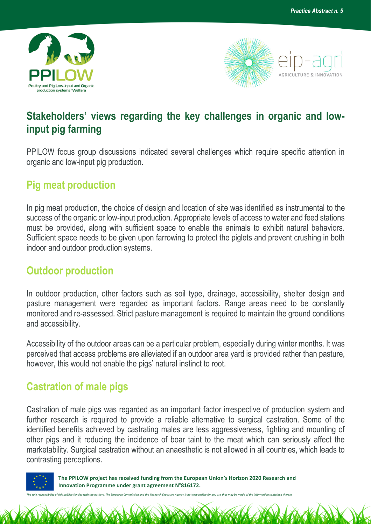



## **Stakeholders' views regarding the key challenges in organic and lowinput pig farming**

PPILOW focus group discussions indicated several challenges which require specific attention in organic and low-input pig production.

## **Pig meat production**

In pig meat production, the choice of design and location of site was identified as instrumental to the success of the organic or low-input production. Appropriate levels of access to water and feed stations must be provided, along with sufficient space to enable the animals to exhibit natural behaviors. Sufficient space needs to be given upon farrowing to protect the piglets and prevent crushing in both indoor and outdoor production systems.

## **Outdoor production**

In outdoor production, other factors such as soil type, drainage, accessibility, shelter design and pasture management were regarded as important factors. Range areas need to be constantly monitored and re-assessed. Strict pasture management is required to maintain the ground conditions and accessibility.

Accessibility of the outdoor areas can be a particular problem, especially during winter months. It was perceived that access problems are alleviated if an outdoor area yard is provided rather than pasture, however, this would not enable the pigs' natural instinct to root.

## **Castration of male pigs**

Castration of male pigs was regarded as an important factor irrespective of production system and further research is required to provide a reliable alternative to surgical castration. Some of the identified benefits achieved by castrating males are less aggressiveness, fighting and mounting of other pigs and it reducing the incidence of boar taint to the meat which can seriously affect the marketability. Surgical castration without an anaesthetic is not allowed in all countries, which leads to contrasting perceptions.



 **The PPILOW project has received funding from the European Union's Horizon 2020 Research and Innovation Programme under grant agreement N°816172.**

*The sole responsibility of this publication lies with the authors. The European Commission and the Research Executive Agency is not responsible for any use that may be made of the information contained therein.*